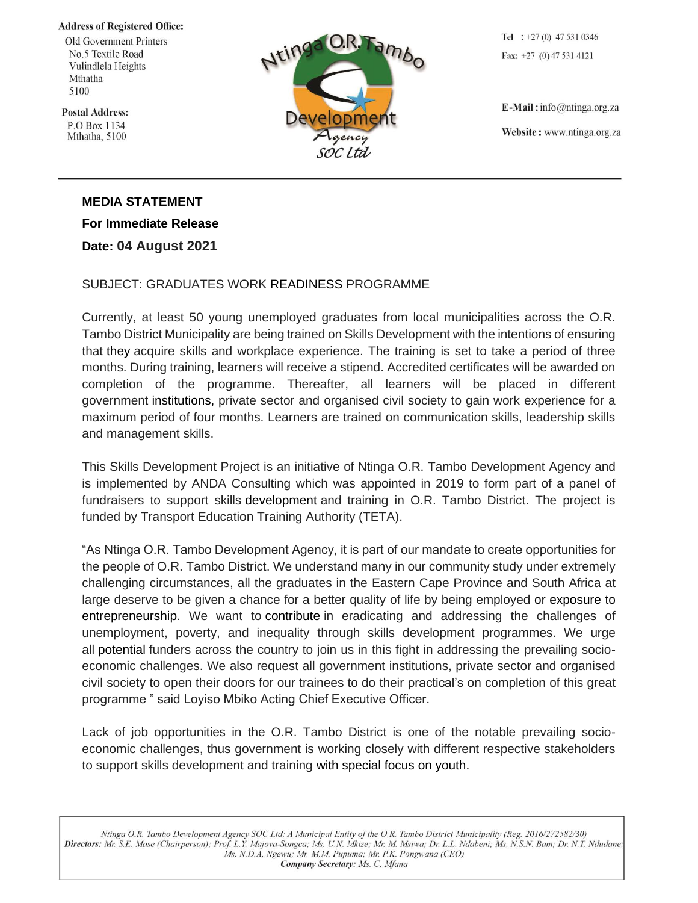## **Address of Registered Office:**

Old Government Printers No.5 Textile Road Vulindlela Heights Mthatha 5100

**Postal Address:** P.O Box 1134 Mthatha, 5100



Tel :  $+27(0)$  47 531 0346 Fax:  $+27$  (0) 47 531 4121

 $E$ -Mail: info@ntinga.org.za Website: www.ntinga.org.za

## **MEDIA STATEMENT For Immediate Release**

**Date: 04 August 2021**

## SUBJECT: GRADUATES WORK READINESS PROGRAMME

Currently, at least 50 young unemployed graduates from local municipalities across the O.R. Tambo District Municipality are being trained on Skills Development with the intentions of ensuring that they acquire skills and workplace experience. The training is set to take a period of three months. During training, learners will receive a stipend. Accredited certificates will be awarded on completion of the programme. Thereafter, all learners will be placed in different government institutions, private sector and organised civil society to gain work experience for a maximum period of four months. Learners are trained on communication skills, leadership skills and management skills.

This Skills Development Project is an initiative of Ntinga O.R. Tambo Development Agency and is implemented by ANDA Consulting which was appointed in 2019 to form part of a panel of fundraisers to support skills development and training in O.R. Tambo District. The project is funded by Transport Education Training Authority (TETA).

"As Ntinga O.R. Tambo Development Agency, it is part of our mandate to create opportunities for the people of O.R. Tambo District. We understand many in our community study under extremely challenging circumstances, all the graduates in the Eastern Cape Province and South Africa at large deserve to be given a chance for a better quality of life by being employed or exposure to entrepreneurship. We want to contribute in eradicating and addressing the challenges of unemployment, poverty, and inequality through skills development programmes. We urge all potential funders across the country to join us in this fight in addressing the prevailing socioeconomic challenges. We also request all government institutions, private sector and organised civil society to open their doors for our trainees to do their practical's on completion of this great programme " said Loyiso Mbiko Acting Chief Executive Officer.

Lack of job opportunities in the O.R. Tambo District is one of the notable prevailing socioeconomic challenges, thus government is working closely with different respective stakeholders to support skills development and training with special focus on youth.

Ntinga O.R. Tambo Development Agency SOC Ltd: A Municipal Entity of the O.R. Tambo District Municipality (Reg. 2016/272582/30) Directors: Mr. S.E. Mase (Chairperson); Prof. L.Y. Majova-Songca; Ms. U.N. Mkize; Mr. M. Msiwa; Dr. L.L. Ndabeni; Ms. N.S.N. Bam; Dr. N.T. Ndudane; Ms. N.D.A. Ngewu; Mr. M.M. Pupuma; Mr. P.K. Pongwana (CEO) Company Secretary: Ms. C. Mfana